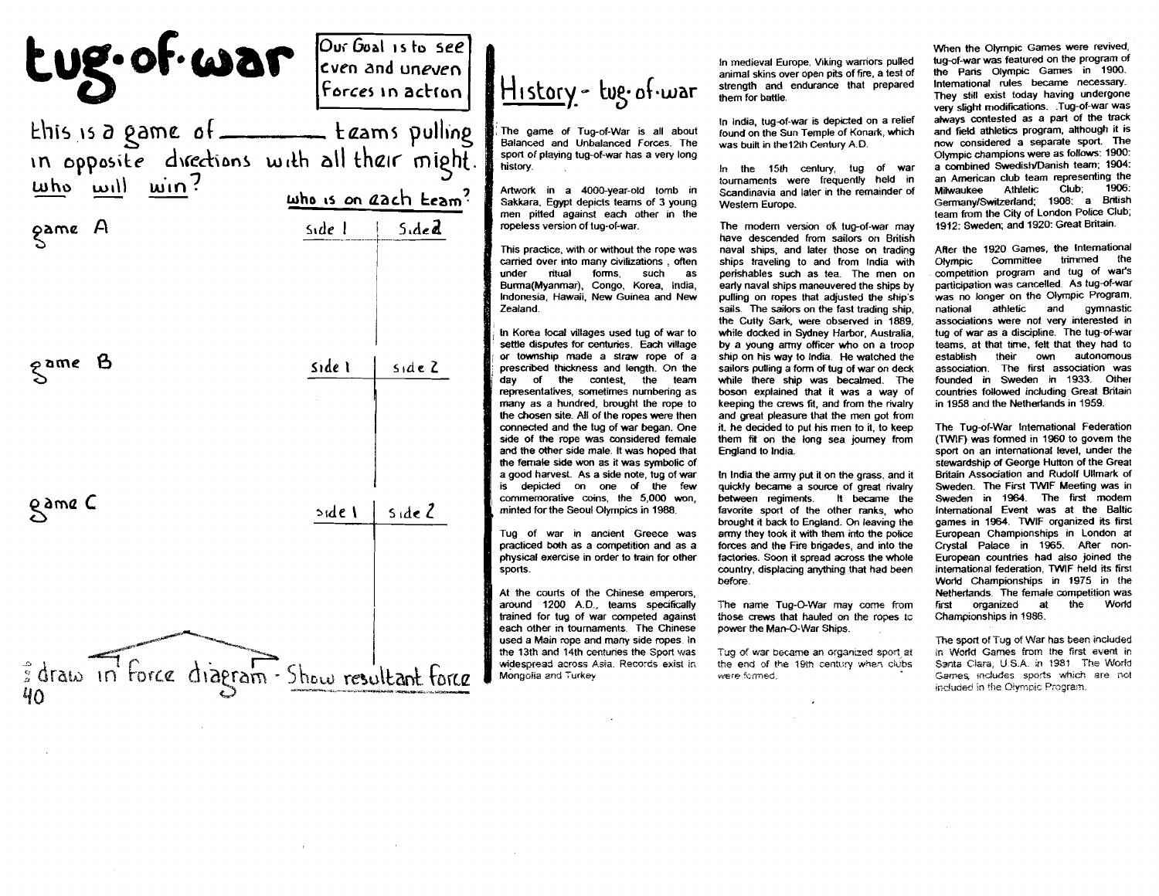| tug. of war                                                                                                                                                                                           | $ Our Goal$ is to see<br>even and uneven<br>Forces in action | History - tug. of war                                                                                                                                                                                                                                                                                                                                                                                                                                                                                            | In medieval Europe, Viking warriors pulled<br>animal skins over open pits of fire, a test of<br>strength and endurance that prepared<br>them for battle.                                                                                                                                                                                                                                                                                                                              | When the Olympic Games were revived,<br>tug-of-war was featured on the program of<br>the Paris Olympic Games in 1900.<br>International rules became necessary.<br>They still exist today having undergone<br>very slight modifications. .Tug-of-war was                                                                                                                                                                                                                            |
|-------------------------------------------------------------------------------------------------------------------------------------------------------------------------------------------------------|--------------------------------------------------------------|------------------------------------------------------------------------------------------------------------------------------------------------------------------------------------------------------------------------------------------------------------------------------------------------------------------------------------------------------------------------------------------------------------------------------------------------------------------------------------------------------------------|---------------------------------------------------------------------------------------------------------------------------------------------------------------------------------------------------------------------------------------------------------------------------------------------------------------------------------------------------------------------------------------------------------------------------------------------------------------------------------------|------------------------------------------------------------------------------------------------------------------------------------------------------------------------------------------------------------------------------------------------------------------------------------------------------------------------------------------------------------------------------------------------------------------------------------------------------------------------------------|
| $k$ his is a game of ______ $k$ $z$ ams pulling<br>in opposite directions with all their might.<br>$\frac{m\hbar\omega}{m}$ $\frac{m\hbar\omega}{m}$ $\frac{m\hbar\omega}{m}$<br>who is on each team? |                                                              | The game of Tug-of-War is all about<br>Balanced and Unbalanced Forces. The<br>sport of playing tug-of-war has a very long<br>history.<br>Artwork in a 4000-year-old tomb in<br>Sakkara, Egypt depicts teams of 3 young<br>men pitted against each other in the                                                                                                                                                                                                                                                   | In india, tug-of-war is depicted on a relief<br>found on the Sun Temple of Konark, which<br>was built in the 12th Century A.D.<br>In the 15th century, tug of war<br>tournaments were frequently held in<br>Scandinavia and later in the remainder of<br>Western Europe.                                                                                                                                                                                                              | always contested as a part of the track<br>and field athletics program, although it is<br>now considered a separate sport. The<br>Olympic champions were as follows: 1900:<br>a combined Swedish/Danish team; 1904.<br>an American club team representing the<br>1906<br>Club:<br>Athletic<br>Milwaukee<br>Germany/Switzerland; 1908: a British<br>team from the City of London Police Club                                                                                        |
| game A                                                                                                                                                                                                | Side 1<br>$5 \cdot 4 \cdot 7$                                | ropeless version of tug-of-war.<br>This practice, with or without the rope was<br>carried over into many civilizations, often<br>ritual<br>forms, such<br>under<br><b>as</b><br>Burma(Myanmar), Congo, Korea, India,<br>Indonesia. Hawaii, New Guinea and New<br>Zealand.<br>In Korea local villages used tug of war to<br>settle disputes for centuries. Each village                                                                                                                                           | The modern version of tug-of-war may<br>have descended from sailors on British<br>naval ships, and later those on trading<br>ships traveling to and from India with<br>perishables such as tea. The men on<br>early naval ships maneuvered the ships by<br>pulling on ropes that adjusted the ship's<br>sails. The sailors on the fast trading ship.<br>the Cutty Sark, were observed in 1889.<br>while docked in Sydney Harbor, Australia.<br>by a young army officer who on a troop | 1912: Sweden; and 1920: Great Britain.<br>After the 1920 Games, the International<br>Olympic Committee trimmed the<br>competition program and tug of war's<br>participation was cancelled. As tug-of-war<br>was no longer on the Olympic Program,<br>and<br>gymnastic<br>national<br>athletic<br>associations were not very interested in<br>tug of war as a discipline. The tug-of-war<br>teams, at that time, felt that they had to                                              |
|                                                                                                                                                                                                       | Side 1<br>sideZ                                              | or township made a straw rope of a<br>prescribed thickness and length. On the<br>day of the contest, the team<br>representatives, sometimes numbering as<br>many as a hundred, brought the rope to<br>the chosen site. All of the ropes were then<br>connected and the tug of war began. One<br>side of the rope was considered female<br>and the other side male. It was hoped that<br>the female side won as it was symbolic of<br>a good harvest. As a side note, tug of war<br>is depicted on one of the few | ship on his way to India. He watched the<br>sailors pulling a form of tug of war on deck<br>while there ship was becalmed. The<br>boson explained that it was a way of<br>keeping the crews fit, and from the rivalry<br>and great pleasure that the men got from<br>it, he decided to put his men to it, to keep<br>them fit on the long sea journey from<br>England to India.<br>In India the army put it on the grass, and it<br>quickly became a source of great rivalry          | establish<br>their<br>own<br>autonomous<br>association. The first association was<br>founded in Sweden in 1933. Other<br>countries followed including Great Britain<br>in 1958 and the Netherlands in 1959.<br>The Tug-of-War International Federation<br>(TWIF) was formed in 1960 to govern the<br>sport on an international level, under the<br>stewardship of George Hutton of the Great<br>Britain Association and Rudolf Ullmark of<br>Sweden. The First TWIF Meeting was in |
| game C                                                                                                                                                                                                | $3$ ide $2$<br>$5$ ide $\sqrt{ }$                            | commemorative coins, the 5,000 won,<br>minted for the Seoul Olympics in 1988.<br>Tug of war in ancient Greece was<br>practiced both as a competition and as a<br>physical exercise in order to train for other<br>sports.<br>At the courts of the Chinese emperors.<br>around 1200 A.D., teams specifically<br>trained for tug of war competed against                                                                                                                                                           | between regiments.<br>It became the<br>favorite sport of the other ranks, who<br>brought it back to England. On leaving the<br>army they took it with them into the police<br>forces and the Fire brigades, and into the<br>factories. Soon it spread across the whole<br>country, displacing anything that had been<br>before.<br>The name Tug-O-War may come from<br>those crews that hauled on the ropes to                                                                        | Sweden in 1964. The first modem<br>international Event was at the Baltic<br>games in 1964. TWIF organized its first<br>European Championships in London at<br>Crystal Palace in 1965. After non-<br>European countries had also joined the<br>international federation. TWIF held its first<br>World Championships in 1975 in the<br>Netherlands. The female competition was<br>the<br>World<br>organized<br>at<br>first<br>Championships in 1986.                                 |
| Il draw in Force diagram - Show resultant force                                                                                                                                                       |                                                              | each other in tournaments. The Chinese<br>used a Main rope and many side ropes. In<br>the 13th and 14th centuries the Sport was<br>widespread across Asia. Records exist in<br>Mongolia and Turkey                                                                                                                                                                                                                                                                                                               | power the Man-O-War Ships.<br>Tug of war became an organized sport at<br>the end of the 19th century when clubs<br>were formed.                                                                                                                                                                                                                                                                                                                                                       | The sport of Tug of War has been included<br>in World Games from the first event in<br>Santa Clara, U.S.A. in 1981. The World<br>Garnes, includes sports which are not<br>included in the Olympic Program.                                                                                                                                                                                                                                                                         |

 $\label{eq:3.1} \mathcal{A}(\mathcal{C})=\mathcal{C}(\mathcal{C})\otimes\mathcal{C}(\mathcal{C})\otimes\mathcal{C}(\mathcal{C})\otimes\mathcal{C}(\mathcal{C})\otimes\mathcal{C}(\mathcal{C}).$ 

 $\sim 10^7$